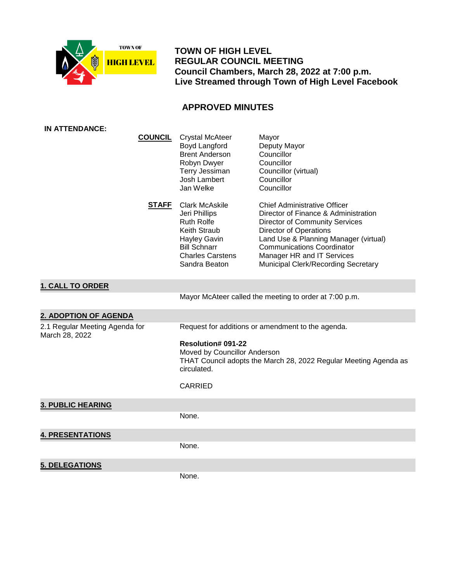

 **TOWN OF HIGH LEVEL REGULAR COUNCIL MEETING Council Chambers, March 28, 2022 at 7:00 p.m. Live Streamed through Town of High Level Facebook**

## **APPROVED MINUTES**

| <b>IN ATTENDANCE:</b>                            |              |                                                                                                                                                                       |                                                                                                                                                                                                                                                                                                          |
|--------------------------------------------------|--------------|-----------------------------------------------------------------------------------------------------------------------------------------------------------------------|----------------------------------------------------------------------------------------------------------------------------------------------------------------------------------------------------------------------------------------------------------------------------------------------------------|
| <b>COUNCIL</b>                                   |              | <b>Crystal McAteer</b><br>Boyd Langford<br><b>Brent Anderson</b><br>Robyn Dwyer<br>Terry Jessiman<br>Josh Lambert<br>Jan Welke                                        | Mayor<br>Deputy Mayor<br>Councillor<br>Councillor<br>Councillor (virtual)<br>Councillor<br>Councillor                                                                                                                                                                                                    |
|                                                  | <b>STAFF</b> | <b>Clark McAskile</b><br>Jeri Phillips<br><b>Ruth Rolfe</b><br>Keith Straub<br><b>Hayley Gavin</b><br><b>Bill Schnarr</b><br><b>Charles Carstens</b><br>Sandra Beaton | <b>Chief Administrative Officer</b><br>Director of Finance & Administration<br><b>Director of Community Services</b><br><b>Director of Operations</b><br>Land Use & Planning Manager (virtual)<br><b>Communications Coordinator</b><br>Manager HR and IT Services<br>Municipal Clerk/Recording Secretary |
| <b>1. CALL TO ORDER</b>                          |              |                                                                                                                                                                       |                                                                                                                                                                                                                                                                                                          |
|                                                  |              |                                                                                                                                                                       | Mayor McAteer called the meeting to order at 7:00 p.m.                                                                                                                                                                                                                                                   |
| 2. ADOPTION OF AGENDA                            |              |                                                                                                                                                                       |                                                                                                                                                                                                                                                                                                          |
| 2.1 Regular Meeting Agenda for<br>March 28, 2022 |              | Resolution# 091-22<br>Moved by Councillor Anderson<br>circulated.<br><b>CARRIED</b>                                                                                   | Request for additions or amendment to the agenda.<br>THAT Council adopts the March 28, 2022 Regular Meeting Agenda as                                                                                                                                                                                    |
| <b>3. PUBLIC HEARING</b>                         |              |                                                                                                                                                                       |                                                                                                                                                                                                                                                                                                          |
|                                                  |              | None.                                                                                                                                                                 |                                                                                                                                                                                                                                                                                                          |
| <b>4. PRESENTATIONS</b>                          |              |                                                                                                                                                                       |                                                                                                                                                                                                                                                                                                          |
|                                                  |              | None.                                                                                                                                                                 |                                                                                                                                                                                                                                                                                                          |
| <b>5. DELEGATIONS</b>                            |              |                                                                                                                                                                       |                                                                                                                                                                                                                                                                                                          |
|                                                  |              | None.                                                                                                                                                                 |                                                                                                                                                                                                                                                                                                          |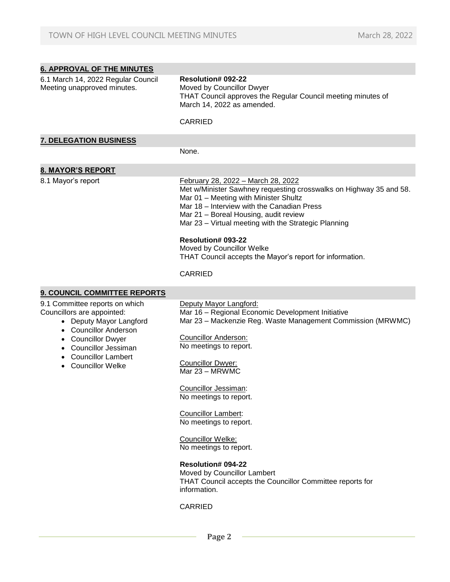| <b>6. APPROVAL OF THE MINUTES</b>                                                                                                                                                                                       |                                                                                                                                                                                                                                                                                                                                                                                                                                                                                                                                                                |
|-------------------------------------------------------------------------------------------------------------------------------------------------------------------------------------------------------------------------|----------------------------------------------------------------------------------------------------------------------------------------------------------------------------------------------------------------------------------------------------------------------------------------------------------------------------------------------------------------------------------------------------------------------------------------------------------------------------------------------------------------------------------------------------------------|
| 6.1 March 14, 2022 Regular Council<br>Meeting unapproved minutes.                                                                                                                                                       | <b>Resolution# 092-22</b><br>Moved by Councillor Dwyer<br>THAT Council approves the Regular Council meeting minutes of<br>March 14, 2022 as amended.                                                                                                                                                                                                                                                                                                                                                                                                           |
|                                                                                                                                                                                                                         | <b>CARRIED</b>                                                                                                                                                                                                                                                                                                                                                                                                                                                                                                                                                 |
| <b>7. DELEGATION BUSINESS</b>                                                                                                                                                                                           |                                                                                                                                                                                                                                                                                                                                                                                                                                                                                                                                                                |
|                                                                                                                                                                                                                         | None.                                                                                                                                                                                                                                                                                                                                                                                                                                                                                                                                                          |
| <b>8. MAYOR'S REPORT</b>                                                                                                                                                                                                |                                                                                                                                                                                                                                                                                                                                                                                                                                                                                                                                                                |
| 8.1 Mayor's report                                                                                                                                                                                                      | February 28, 2022 - March 28, 2022<br>Met w/Minister Sawhney requesting crosswalks on Highway 35 and 58.<br>Mar 01 - Meeting with Minister Shultz<br>Mar 18 - Interview with the Canadian Press<br>Mar 21 - Boreal Housing, audit review<br>Mar 23 - Virtual meeting with the Strategic Planning<br><b>Resolution# 093-22</b><br>Moved by Councillor Welke<br>THAT Council accepts the Mayor's report for information.<br><b>CARRIED</b>                                                                                                                       |
|                                                                                                                                                                                                                         |                                                                                                                                                                                                                                                                                                                                                                                                                                                                                                                                                                |
| 9. COUNCIL COMMITTEE REPORTS                                                                                                                                                                                            |                                                                                                                                                                                                                                                                                                                                                                                                                                                                                                                                                                |
| 9.1 Committee reports on which<br>Councillors are appointed:<br>• Deputy Mayor Langford<br>• Councillor Anderson<br>• Councillor Dwyer<br>• Councillor Jessiman<br><b>Councillor Lambert</b><br><b>Councillor Welke</b> | Deputy Mayor Langford:<br>Mar 16 - Regional Economic Development Initiative<br>Mar 23 - Mackenzie Reg. Waste Management Commission (MRWMC)<br><b>Councillor Anderson:</b><br>No meetings to report.<br><b>Councillor Dwyer:</b><br>Mar 23 - MRWMC<br>Councillor Jessiman:<br>No meetings to report.<br>Councillor Lambert:<br>No meetings to report.<br>Councillor Welke:<br>No meetings to report.<br><b>Resolution# 094-22</b><br>Moved by Councillor Lambert<br>THAT Council accepts the Councillor Committee reports for<br>information.<br><b>CARRIED</b> |

 **Page 2**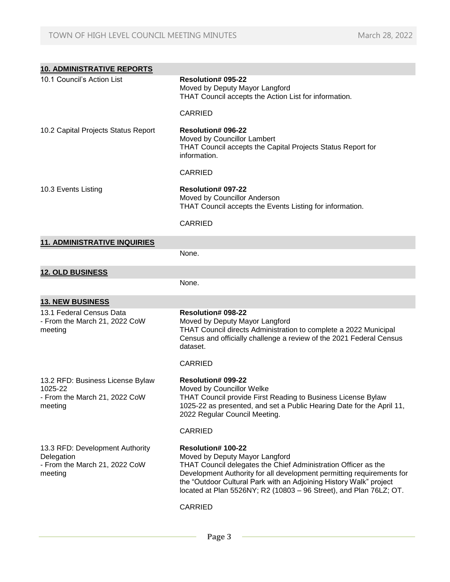| <b>10. ADMINISTRATIVE REPORTS</b>                                                         |                                                                                                                                                                                                                                                                                                                                                    |
|-------------------------------------------------------------------------------------------|----------------------------------------------------------------------------------------------------------------------------------------------------------------------------------------------------------------------------------------------------------------------------------------------------------------------------------------------------|
| 10.1 Council's Action List                                                                | Resolution# 095-22<br>Moved by Deputy Mayor Langford<br>THAT Council accepts the Action List for information.                                                                                                                                                                                                                                      |
|                                                                                           | <b>CARRIED</b>                                                                                                                                                                                                                                                                                                                                     |
| 10.2 Capital Projects Status Report                                                       | <b>Resolution# 096-22</b><br>Moved by Councillor Lambert<br>THAT Council accepts the Capital Projects Status Report for<br>information.                                                                                                                                                                                                            |
|                                                                                           | <b>CARRIED</b>                                                                                                                                                                                                                                                                                                                                     |
| 10.3 Events Listing                                                                       | <b>Resolution# 097-22</b><br>Moved by Councillor Anderson<br>THAT Council accepts the Events Listing for information.                                                                                                                                                                                                                              |
|                                                                                           | <b>CARRIED</b>                                                                                                                                                                                                                                                                                                                                     |
| <b>11. ADMINISTRATIVE INQUIRIES</b>                                                       |                                                                                                                                                                                                                                                                                                                                                    |
|                                                                                           | None.                                                                                                                                                                                                                                                                                                                                              |
| <b>12. OLD BUSINESS</b>                                                                   |                                                                                                                                                                                                                                                                                                                                                    |
|                                                                                           | None.                                                                                                                                                                                                                                                                                                                                              |
| <b>13. NEW BUSINESS</b>                                                                   |                                                                                                                                                                                                                                                                                                                                                    |
| 13.1 Federal Census Data<br>- From the March 21, 2022 CoW<br>meeting                      | <b>Resolution# 098-22</b><br>Moved by Deputy Mayor Langford<br>THAT Council directs Administration to complete a 2022 Municipal<br>Census and officially challenge a review of the 2021 Federal Census<br>dataset.                                                                                                                                 |
|                                                                                           | <b>CARRIED</b>                                                                                                                                                                                                                                                                                                                                     |
| 13.2 RFD: Business License Bylaw<br>1025-22<br>- From the March 21, 2022 CoW<br>meeting   | <b>Resolution# 099-22</b><br>Moved by Councillor Welke<br>THAT Council provide First Reading to Business License Bylaw<br>1025-22 as presented, and set a Public Hearing Date for the April 11,<br>2022 Regular Council Meeting.                                                                                                                   |
|                                                                                           | <b>CARRIED</b>                                                                                                                                                                                                                                                                                                                                     |
| 13.3 RFD: Development Authority<br>Delegation<br>- From the March 21, 2022 CoW<br>meeting | <b>Resolution# 100-22</b><br>Moved by Deputy Mayor Langford<br>THAT Council delegates the Chief Administration Officer as the<br>Development Authority for all development permitting requirements for<br>the "Outdoor Cultural Park with an Adjoining History Walk" project<br>located at Plan 5526NY; R2 (10803 - 96 Street), and Plan 76LZ; OT. |
|                                                                                           | <b>CARRIED</b>                                                                                                                                                                                                                                                                                                                                     |

 **Page 3**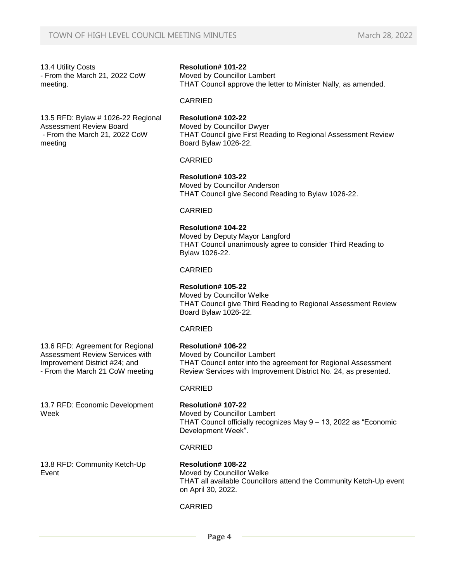13.4 Utility Costs - From the March 21, 2022 CoW meeting.

13.5 RFD: Bylaw # 1026-22 Regional Assessment Review Board - From the March 21, 2022 CoW meeting

# 13.6 RFD: Agreement for Regional

Assessment Review Services with Improvement District #24; and - From the March 21 CoW meeting

13.7 RFD: Economic Development Week

## **Resolution# 101-22**

Moved by Councillor Lambert THAT Council approve the letter to Minister Nally, as amended.

### CARRIED

#### **Resolution# 102-22** Moved by Councillor Dwyer THAT Council give First Reading to Regional Assessment Review Board Bylaw 1026-22.

## CARRIED

## **Resolution# 103-22**

Moved by Councillor Anderson THAT Council give Second Reading to Bylaw 1026-22.

#### CARRIED

## **Resolution# 104-22**

Moved by Deputy Mayor Langford THAT Council unanimously agree to consider Third Reading to Bylaw 1026-22.

## CARRIED

## **Resolution# 105-22**

Moved by Councillor Welke THAT Council give Third Reading to Regional Assessment Review Board Bylaw 1026-22.

#### CARRIED

## **Resolution# 106-22**

Moved by Councillor Lambert THAT Council enter into the agreement for Regional Assessment Review Services with Improvement District No. 24, as presented.

## CARRIED

## **Resolution# 107-22**

Moved by Councillor Lambert THAT Council officially recognizes May 9 – 13, 2022 as "Economic Development Week".

## CARRIED

13.8 RFD: Community Ketch-Up Event

#### **Resolution# 108-22** Moved by Councillor Welke THAT all available Councillors attend the Community Ketch-Up event on April 30, 2022.

## CARRIED

 **Page 4**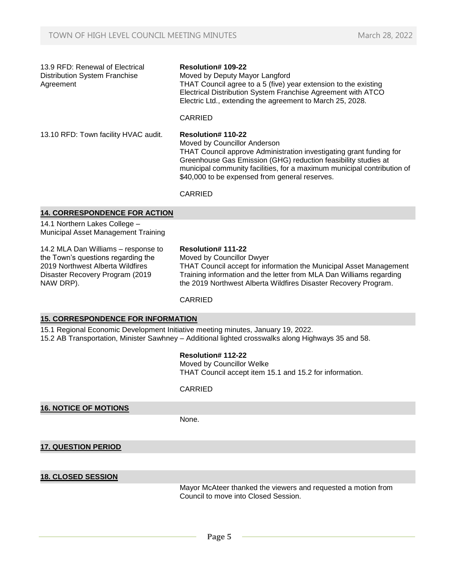13.9 RFD: Renewal of Electrical Distribution System Franchise Agreement

#### **Resolution# 109-22**

Moved by Deputy Mayor Langford THAT Council agree to a 5 (five) year extension to the existing Electrical Distribution System Franchise Agreement with ATCO Electric Ltd., extending the agreement to March 25, 2028.

## **CARRIED**

13.10 RFD: Town facility HVAC audit. **Resolution# 110-22**

#### Moved by Councillor Anderson

THAT Council approve Administration investigating grant funding for Greenhouse Gas Emission (GHG) reduction feasibility studies at municipal community facilities, for a maximum municipal contribution of \$40,000 to be expensed from general reserves.

CARRIED

#### **14. CORRESPONDENCE FOR ACTION**

14.1 Northern Lakes College – Municipal Asset Management Training

14.2 MLA Dan Williams – response to the Town's questions regarding the 2019 Northwest Alberta Wildfires Disaster Recovery Program (2019 NAW DRP).

#### **Resolution# 111-22**

Moved by Councillor Dwyer THAT Council accept for information the Municipal Asset Management Training information and the letter from MLA Dan Williams regarding the 2019 Northwest Alberta Wildfires Disaster Recovery Program.

#### CARRIED

#### **15. CORRESPONDENCE FOR INFORMATION**

15.1 Regional Economic Development Initiative meeting minutes, January 19, 2022. 15.2 AB Transportation, Minister Sawhney – Additional lighted crosswalks along Highways 35 and 58.

#### **Resolution# 112-22**

Moved by Councillor Welke THAT Council accept item 15.1 and 15.2 for information.

#### CARRIED

**16. NOTICE OF MOTIONS**

None.

**17. QUESTION PERIOD**

## **18. CLOSED SESSION**

Mayor McAteer thanked the viewers and requested a motion from Council to move into Closed Session.